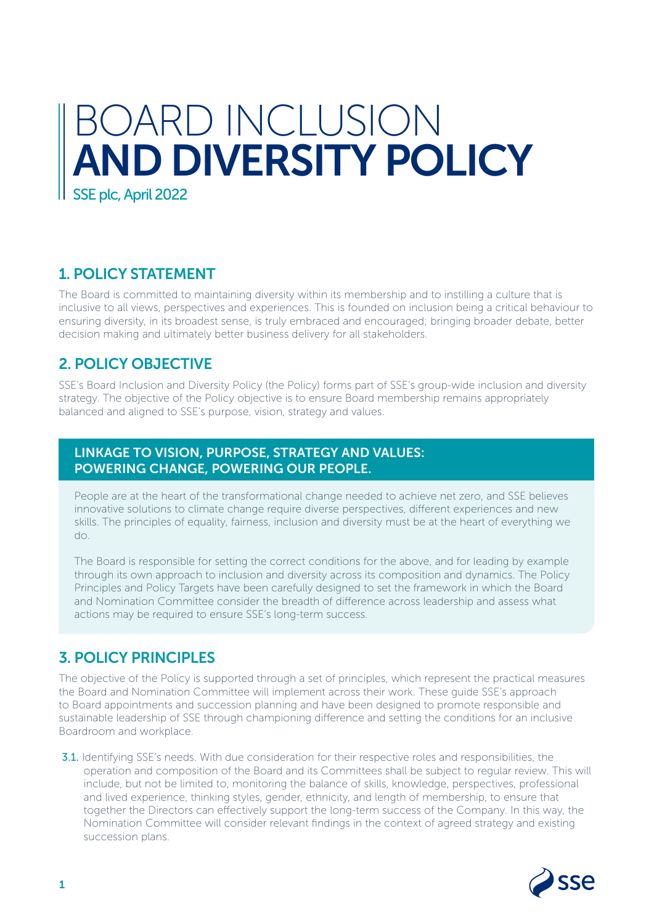# BOARD INCLUSION AND DIVERSITY POLICY SSE plc, April 2022

### 1. POLICY STATEMENT

The Board is committed to maintaining diversity within its membership and to instilling a culture that is inclusive to all views, perspectives and experiences. This is founded on inclusion being a critical behaviour to ensuring diversity, in its broadest sense, is truly embraced and encouraged; bringing broader debate, better decision making and ultimately better business delivery for all stakeholders.

## 2. POLICY OBJECTIVE

SSE's Board Inclusion and Diversity Policy (the Policy) forms part of SSE's group-wide inclusion and diversity strategy. The objective of the Policy objective is to ensure Board membership remains appropriately balanced and aligned to SSE's purpose, vision, strategy and values.

#### LINKAGE TO VISION, PURPOSE, STRATEGY AND VALUES: POWERING CHANGE, POWERING OUR PEOPLE.

People are at the heart of the transformational change needed to achieve net zero, and SSE believes innovative solutions to climate change require diverse perspectives, different experiences and new skills. The principles of equality, fairness, inclusion and diversity must be at the heart of everything we do.

The Board is responsible for setting the correct conditions for the above, and for leading by example through its own approach to inclusion and diversity across its composition and dynamics. The Policy Principles and Policy Targets have been carefully designed to set the framework in which the Board and Nomination Committee consider the breadth of difference across leadership and assess what actions may be required to ensure SSE's long-term success.

## 3. POLICY PRINCIPLES

The objective of the Policy is supported through a set of principles, which represent the practical measures the Board and Nomination Committee will implement across their work. These guide SSE's approach to Board appointments and succession planning and have been designed to promote responsible and sustainable leadership of SSE through championing difference and setting the conditions for an inclusive Boardroom and workplace.

3.1. Identifying SSE's needs. With due consideration for their respective roles and responsibilities, the operation and composition of the Board and its Committees shall be subject to regular review. This will include, but not be limited to, monitoring the balance of skills, knowledge, perspectives, professional and lived experience, thinking styles, gender, ethnicity, and length of membership, to ensure that together the Directors can effectively support the long-term success of the Company. In this way, the Nomination Committee will consider relevant findings in the context of agreed strategy and existing succession plans.

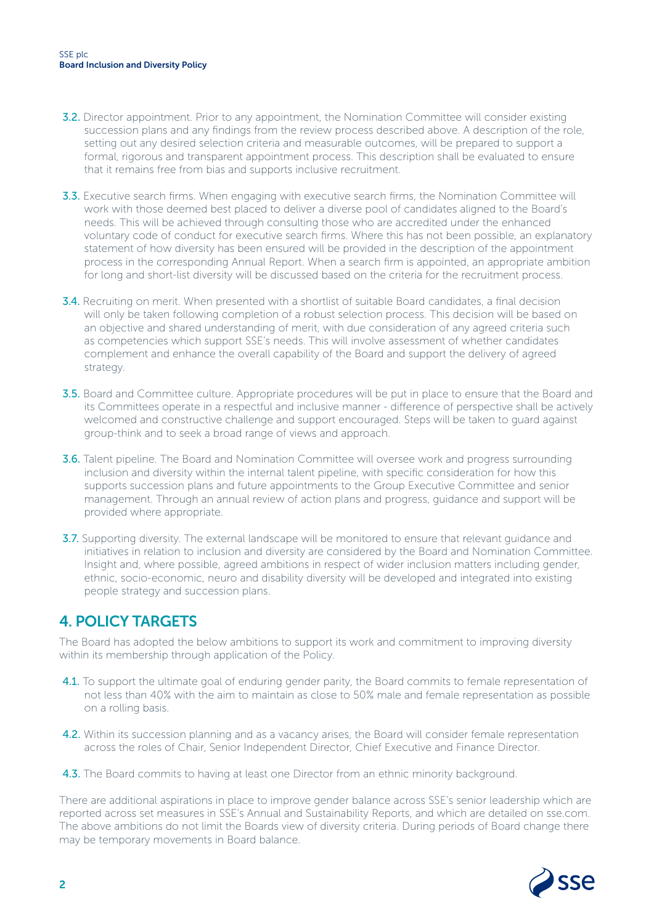- **3.2.** Director appointment. Prior to any appointment, the Nomination Committee will consider existing succession plans and any findings from the review process described above. A description of the role, setting out any desired selection criteria and measurable outcomes, will be prepared to support a formal, rigorous and transparent appointment process. This description shall be evaluated to ensure that it remains free from bias and supports inclusive recruitment.
- 3.3. Executive search firms. When engaging with executive search firms, the Nomination Committee will work with those deemed best placed to deliver a diverse pool of candidates aligned to the Board's needs. This will be achieved through consulting those who are accredited under the enhanced voluntary code of conduct for executive search firms. Where this has not been possible, an explanatory statement of how diversity has been ensured will be provided in the description of the appointment process in the corresponding Annual Report. When a search firm is appointed, an appropriate ambition for long and short-list diversity will be discussed based on the criteria for the recruitment process.
- **3.4.** Recruiting on merit. When presented with a shortlist of suitable Board candidates, a final decision will only be taken following completion of a robust selection process. This decision will be based on an objective and shared understanding of merit, with due consideration of any agreed criteria such as competencies which support SSE's needs. This will involve assessment of whether candidates complement and enhance the overall capability of the Board and support the delivery of agreed strategy.
- 3.5. Board and Committee culture. Appropriate procedures will be put in place to ensure that the Board and its Committees operate in a respectful and inclusive manner - difference of perspective shall be actively welcomed and constructive challenge and support encouraged. Steps will be taken to guard against group-think and to seek a broad range of views and approach.
- **3.6.** Talent pipeline. The Board and Nomination Committee will oversee work and progress surrounding inclusion and diversity within the internal talent pipeline, with specific consideration for how this supports succession plans and future appointments to the Group Executive Committee and senior management. Through an annual review of action plans and progress, guidance and support will be provided where appropriate.
- **3.7.** Supporting diversity. The external landscape will be monitored to ensure that relevant guidance and initiatives in relation to inclusion and diversity are considered by the Board and Nomination Committee. Insight and, where possible, agreed ambitions in respect of wider inclusion matters including gender, ethnic, socio-economic, neuro and disability diversity will be developed and integrated into existing people strategy and succession plans.

## 4. POLICY TARGETS

The Board has adopted the below ambitions to support its work and commitment to improving diversity within its membership through application of the Policy.

- 4.1. To support the ultimate goal of enduring gender parity, the Board commits to female representation of not less than 40% with the aim to maintain as close to 50% male and female representation as possible on a rolling basis.
- 4.2. Within its succession planning and as a vacancy arises, the Board will consider female representation across the roles of Chair, Senior Independent Director, Chief Executive and Finance Director.
- 4.3. The Board commits to having at least one Director from an ethnic minority background.

There are additional aspirations in place to improve gender balance across SSE's senior leadership which are reported across set measures in SSE's Annual and Sustainability Reports, and which are detailed on sse.com. The above ambitions do not limit the Boards view of diversity criteria. During periods of Board change there may be temporary movements in Board balance.